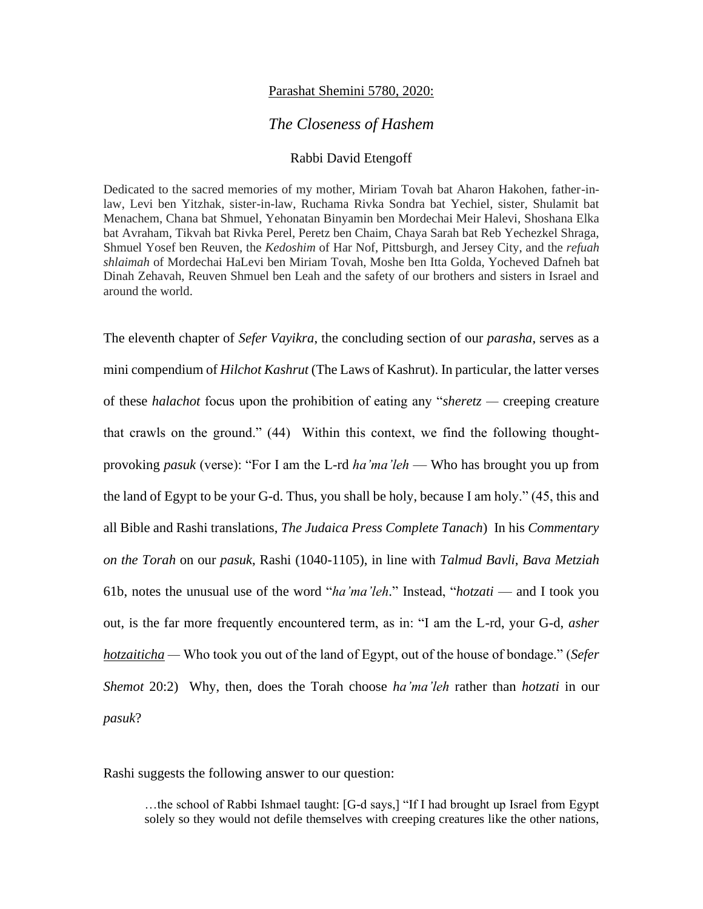## Parashat Shemini 5780, 2020:

## *The Closeness of Hashem*

## Rabbi David Etengoff

Dedicated to the sacred memories of my mother, Miriam Tovah bat Aharon Hakohen, father-inlaw, Levi ben Yitzhak, sister-in-law, Ruchama Rivka Sondra bat Yechiel, sister, Shulamit bat Menachem, Chana bat Shmuel, Yehonatan Binyamin ben Mordechai Meir Halevi, Shoshana Elka bat Avraham, Tikvah bat Rivka Perel, Peretz ben Chaim, Chaya Sarah bat Reb Yechezkel Shraga, Shmuel Yosef ben Reuven, the *Kedoshim* of Har Nof, Pittsburgh, and Jersey City, and the *refuah shlaimah* of Mordechai HaLevi ben Miriam Tovah, Moshe ben Itta Golda, Yocheved Dafneh bat Dinah Zehavah, Reuven Shmuel ben Leah and the safety of our brothers and sisters in Israel and around the world.

The eleventh chapter of *Sefer Vayikra*, the concluding section of our *parasha*, serves as a mini compendium of *Hilchot Kashrut* (The Laws of Kashrut). In particular, the latter verses of these *halachot* focus upon the prohibition of eating any "*sheretz —* creeping creature that crawls on the ground." (44) Within this context, we find the following thoughtprovoking *pasuk* (verse): "For I am the L-rd *ha'ma'leh* — Who has brought you up from the land of Egypt to be your G-d. Thus, you shall be holy, because I am holy." (45, this and all Bible and Rashi translations, *The Judaica Press Complete Tanach*) In his *Commentary on the Torah* on our *pasuk*, Rashi (1040-1105), in line with *Talmud Bavli*, *Bava Metziah*  61b, notes the unusual use of the word "*ha'ma'leh*." Instead, "*hotzati* — and I took you out, is the far more frequently encountered term, as in: "I am the L-rd, your G-d, *asher hotzaiticha —* Who took you out of the land of Egypt, out of the house of bondage." (*Sefer Shemot* 20:2) Why, then, does the Torah choose *ha'ma'leh* rather than *hotzati* in our *pasuk*?

Rashi suggests the following answer to our question:

…the school of Rabbi Ishmael taught: [G-d says,] "If I had brought up Israel from Egypt solely so they would not defile themselves with creeping creatures like the other nations,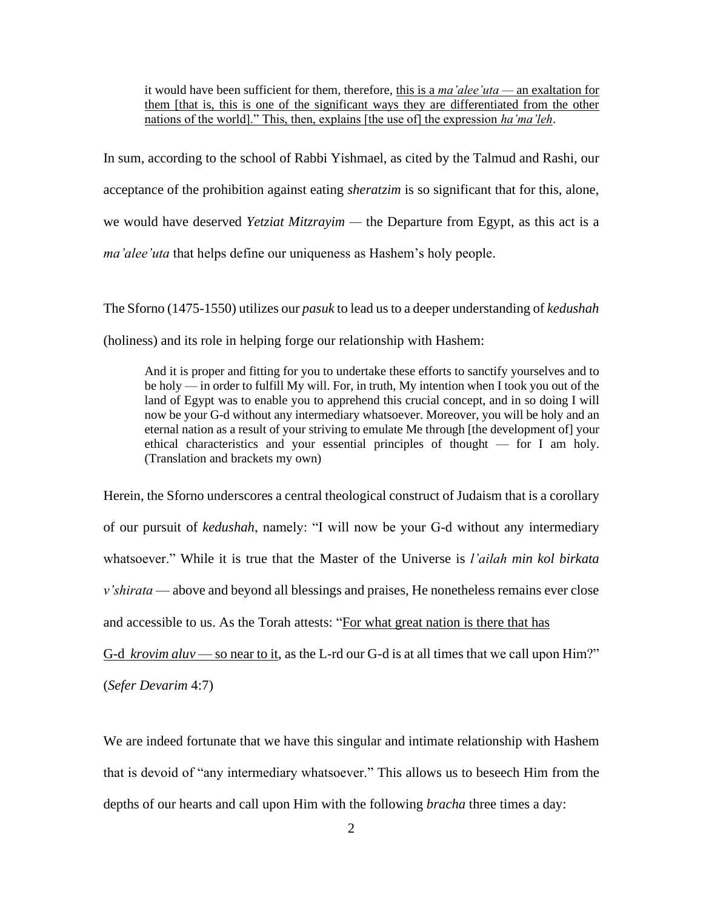it would have been sufficient for them, therefore, this is a *ma'alee'uta —* an exaltation for them [that is, this is one of the significant ways they are differentiated from the other nations of the world]." This, then, explains [the use of] the expression *ha'ma'leh*.

In sum, according to the school of Rabbi Yishmael, as cited by the Talmud and Rashi, our acceptance of the prohibition against eating *sheratzim* is so significant that for this, alone, we would have deserved *Yetziat Mitzrayim —* the Departure from Egypt, as this act is a *ma'alee'uta* that helps define our uniqueness as Hashem's holy people.

The Sforno (1475-1550) utilizes our *pasuk* to lead us to a deeper understanding of *kedushah*  (holiness) and its role in helping forge our relationship with Hashem:

And it is proper and fitting for you to undertake these efforts to sanctify yourselves and to be holy — in order to fulfill My will. For, in truth, My intention when I took you out of the land of Egypt was to enable you to apprehend this crucial concept, and in so doing I will now be your G-d without any intermediary whatsoever. Moreover, you will be holy and an eternal nation as a result of your striving to emulate Me through [the development of] your ethical characteristics and your essential principles of thought — for I am holy. (Translation and brackets my own)

Herein, the Sforno underscores a central theological construct of Judaism that is a corollary of our pursuit of *kedushah*, namely: "I will now be your G-d without any intermediary whatsoever." While it is true that the Master of the Universe is *l'ailah min kol birkata v'shirata* — above and beyond all blessings and praises, He nonetheless remains ever close and accessible to us. As the Torah attests: "For what great nation is there that has G-d *krovim aluv* — so near to it, as the L-rd our G-d is at all times that we call upon Him?"

(*Sefer Devarim* 4:7)

We are indeed fortunate that we have this singular and intimate relationship with Hashem that is devoid of "any intermediary whatsoever." This allows us to beseech Him from the depths of our hearts and call upon Him with the following *bracha* three times a day: